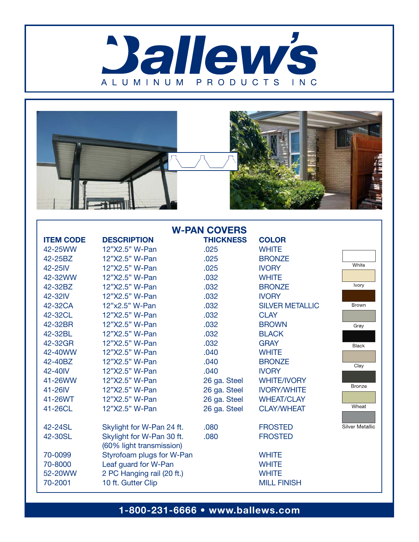



| <b>W-PAN COVERS</b>                      |                                                                                                                                   |                  |                                                                    |                        |
|------------------------------------------|-----------------------------------------------------------------------------------------------------------------------------------|------------------|--------------------------------------------------------------------|------------------------|
| <b>ITEM CODE</b>                         | <b>DESCRIPTION</b>                                                                                                                | <b>THICKNESS</b> | <b>COLOR</b>                                                       |                        |
| 42-25WW                                  | 12"X2.5" W-Pan                                                                                                                    | .025             | <b>WHITE</b>                                                       |                        |
| 42-25BZ                                  | 12"X2.5" W-Pan                                                                                                                    | .025             | <b>BRONZE</b>                                                      |                        |
| 42-25IV                                  | 12"X2.5" W-Pan                                                                                                                    | .025             | <b>IVORY</b>                                                       | White                  |
| 42-32WW                                  | 12"X2.5" W-Pan                                                                                                                    | .032             | <b>WHITE</b>                                                       |                        |
| 42-32BZ                                  | 12"X2.5" W-Pan                                                                                                                    | .032             | <b>BRONZE</b>                                                      | Ivory                  |
| 42-32IV                                  | 12"X2.5" W-Pan                                                                                                                    | .032             | <b>IVORY</b>                                                       |                        |
| 42-32CA                                  | 12"x2.5" W-Pan                                                                                                                    | .032             | <b>SILVER METALLIC</b>                                             | <b>Brown</b>           |
| 42-32CL                                  | 12"X2.5" W-Pan                                                                                                                    | .032             | <b>CLAY</b>                                                        |                        |
| 42-32BR                                  | 12"X2.5" W-Pan                                                                                                                    | .032             | <b>BROWN</b>                                                       | Gray                   |
| 42-32BL                                  | 12"X2.5" W-Pan                                                                                                                    | .032             | <b>BLACK</b>                                                       |                        |
| 42-32GR                                  | 12"X2.5" W-Pan                                                                                                                    | .032             | <b>GRAY</b>                                                        | <b>Black</b>           |
| 42-40WW                                  | 12"X2.5" W-Pan                                                                                                                    | .040             | <b>WHITE</b>                                                       |                        |
| 42-40BZ                                  | 12"X2.5" W-Pan                                                                                                                    | .040             | <b>BRONZE</b>                                                      | Clay                   |
| 42-40IV                                  | 12"X2.5" W-Pan                                                                                                                    | .040             | <b>IVORY</b>                                                       |                        |
| 41-26WW                                  | 12"X2.5" W-Pan                                                                                                                    | 26 ga. Steel     | <b>WHITE/IVORY</b>                                                 | <b>Bronze</b>          |
| 41-26IV                                  | 12"X2.5" W-Pan                                                                                                                    | 26 ga. Steel     | <b>IVORY/WHITE</b>                                                 |                        |
| 41-26WT                                  | 12"X2.5" W-Pan                                                                                                                    | 26 ga. Steel     | <b>WHEAT/CLAY</b>                                                  |                        |
| 41-26CL                                  | 12"X2.5" W-Pan                                                                                                                    | 26 ga. Steel     | <b>CLAY/WHEAT</b>                                                  | Wheat                  |
| 42-24SL                                  | Skylight for W-Pan 24 ft.                                                                                                         | .080             | <b>FROSTED</b>                                                     | <b>Silver Metallic</b> |
| 42-30SL                                  | Skylight for W-Pan 30 ft.                                                                                                         | .080             | <b>FROSTED</b>                                                     |                        |
| 70-0099<br>70-8000<br>52-20WW<br>70-2001 | (60% light transmission)<br>Styrofoam plugs for W-Pan<br>Leaf guard for W-Pan<br>2 PC Hanging rail (20 ft.)<br>10 ft. Gutter Clip |                  | <b>WHITE</b><br><b>WHITE</b><br><b>WHITE</b><br><b>MILL FINISH</b> |                        |
|                                          |                                                                                                                                   |                  |                                                                    |                        |

1-800-231-6666 • www.ballews.com